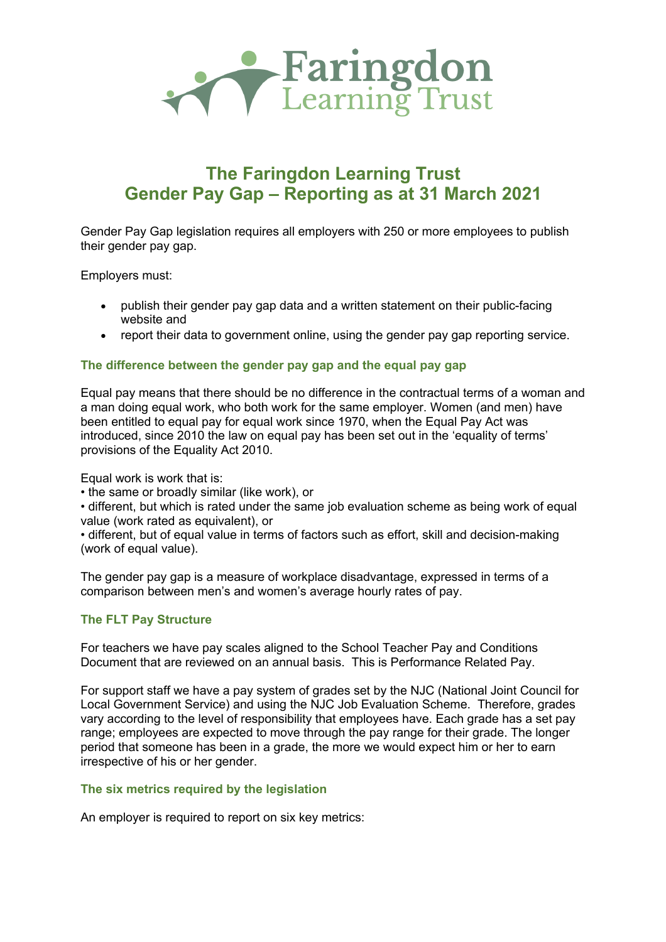

# **The Faringdon Learning Trust Gender Pay Gap – Reporting as at 31 March 2021**

Gender Pay Gap legislation requires all employers with 250 or more employees to publish their gender pay gap.

Employers must:

- publish their gender pay gap data and a written statement on their public-facing website and
- report their data to government online, using the gender pay gap reporting service.

#### **The difference between the gender pay gap and the equal pay gap**

Equal pay means that there should be no difference in the contractual terms of a woman and a man doing equal work, who both work for the same employer. Women (and men) have been entitled to equal pay for equal work since 1970, when the Equal Pay Act was introduced, since 2010 the law on equal pay has been set out in the 'equality of terms' provisions of the Equality Act 2010.

Equal work is work that is:

• the same or broadly similar (like work), or

• different, but which is rated under the same job evaluation scheme as being work of equal value (work rated as equivalent), or

• different, but of equal value in terms of factors such as effort, skill and decision-making (work of equal value).

The gender pay gap is a measure of workplace disadvantage, expressed in terms of a comparison between men's and women's average hourly rates of pay.

## **The FLT Pay Structure**

For teachers we have pay scales aligned to the School Teacher Pay and Conditions Document that are reviewed on an annual basis. This is Performance Related Pay.

For support staff we have a pay system of grades set by the NJC (National Joint Council for Local Government Service) and using the NJC Job Evaluation Scheme. Therefore, grades vary according to the level of responsibility that employees have. Each grade has a set pay range; employees are expected to move through the pay range for their grade. The longer period that someone has been in a grade, the more we would expect him or her to earn irrespective of his or her gender.

## **The six metrics required by the legislation**

An employer is required to report on six key metrics: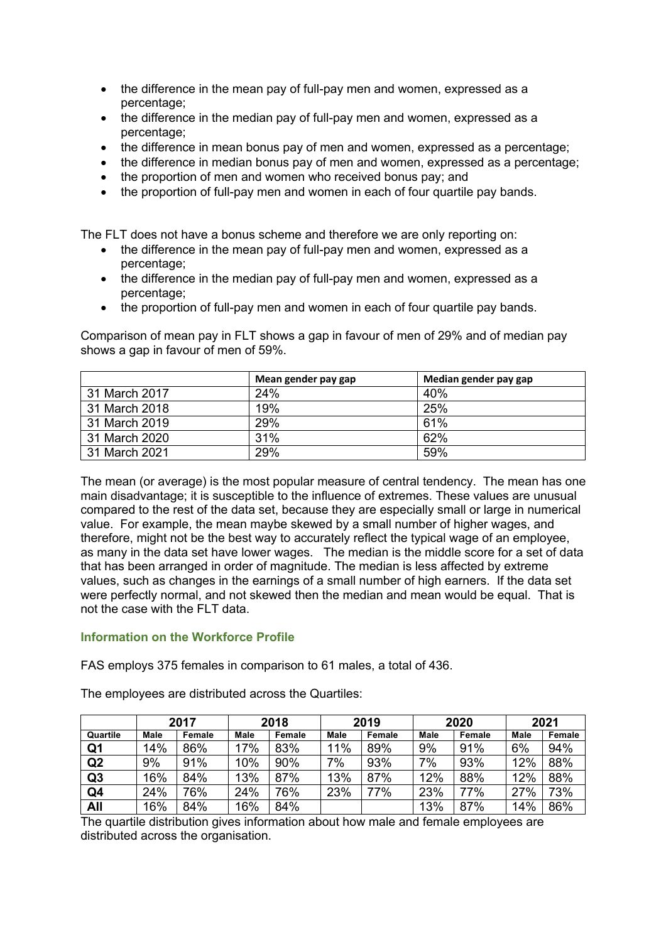- the difference in the mean pay of full-pay men and women, expressed as a percentage;
- the difference in the median pay of full-pay men and women, expressed as a percentage;
- the difference in mean bonus pay of men and women, expressed as a percentage;
- the difference in median bonus pay of men and women, expressed as a percentage;
- the proportion of men and women who received bonus pay; and
- the proportion of full-pay men and women in each of four quartile pay bands.

The FLT does not have a bonus scheme and therefore we are only reporting on:

- the difference in the mean pay of full-pay men and women, expressed as a percentage;
- the difference in the median pay of full-pay men and women, expressed as a percentage;
- the proportion of full-pay men and women in each of four quartile pay bands.

Comparison of mean pay in FLT shows a gap in favour of men of 29% and of median pay shows a gap in favour of men of 59%.

|               | Mean gender pay gap | Median gender pay gap |
|---------------|---------------------|-----------------------|
| 31 March 2017 | 24%                 | 40%                   |
| 31 March 2018 | 19%                 | 25%                   |
| 31 March 2019 | 29%                 | 61%                   |
| 31 March 2020 | 31%                 | 62%                   |
| 31 March 2021 | 29%                 | 59%                   |

The mean (or average) is the most popular measure of central tendency. The mean has one main disadvantage; it is susceptible to the influence of extremes. These values are unusual compared to the rest of the data set, because they are especially small or large in numerical value. For example, the mean maybe skewed by a small number of higher wages, and therefore, might not be the best way to accurately reflect the typical wage of an employee, as many in the data set have lower wages. The median is the middle score for a set of data that has been arranged in order of magnitude. The median is less affected by extreme values, such as changes in the earnings of a small number of high earners. If the data set were perfectly normal, and not skewed then the median and mean would be equal. That is not the case with the FLT data.

### **Information on the Workforce Profile**

FAS employs 375 females in comparison to 61 males, a total of 436.

The employees are distributed across the Quartiles:

|          | 2017        |        | 2018        |        | 2019        |        | 2020        |        | 2021        |        |
|----------|-------------|--------|-------------|--------|-------------|--------|-------------|--------|-------------|--------|
| Quartile | <b>Male</b> | Female | <b>Male</b> | Female | <b>Male</b> | Female | <b>Male</b> | Female | <b>Male</b> | Female |
| Q1       | 14%         | 86%    | 17%         | 83%    | 11%         | 89%    | 9%          | 91%    | 6%          | 94%    |
| Q2       | 9%          | 91%    | 10%         | 90%    | 7%          | 93%    | 7%          | 93%    | 12%         | 88%    |
| Q3       | 16%         | 84%    | 13%         | 87%    | 13%         | 87%    | 12%         | 88%    | 12%         | 88%    |
| Q4       | 24%         | 76%    | 24%         | 76%    | 23%         | 77%    | 23%         | 77%    | 27%         | 73%    |
| All      | 16%         | 84%    | 16%         | 84%    |             |        | 13%         | 87%    | 14%         | 86%    |

The quartile distribution gives information about how male and female employees are distributed across the organisation.